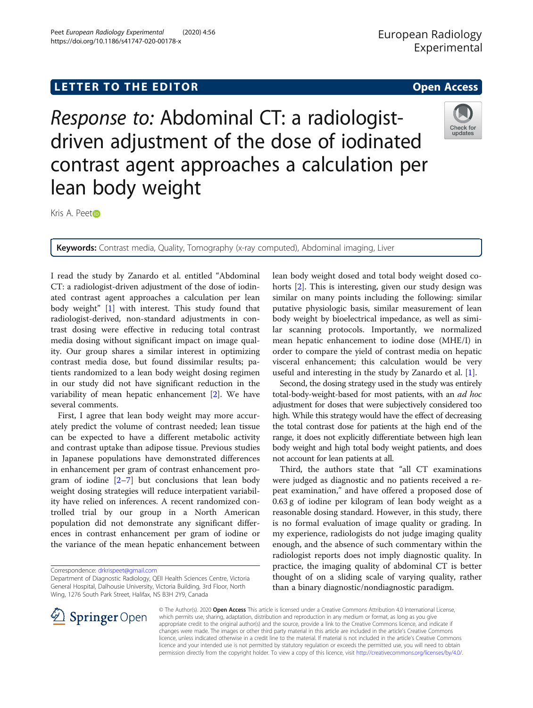# LETTER TO THE EDITOR **CONTROLL CONTROLL CONTROLL CONTROLL CONTROLL CONTROLL CONTROLL CONTROLL CONTROLL CONTROLL**

Response to: Abdominal CT: a radiologistdriven adjustment of the dose of iodinated contrast agent approaches a calculation per lean body weight

Kris A. Pee[t](http://orcid.org/0000-0003-1358-1644)

Keywords: Contrast media, Quality, Tomography (x-ray computed), Abdominal imaging, Liver

I read the study by Zanardo et al. entitled "Abdominal CT: a radiologist-driven adjustment of the dose of iodinated contrast agent approaches a calculation per lean body weight" [[1\]](#page-1-0) with interest. This study found that radiologist-derived, non-standard adjustments in contrast dosing were effective in reducing total contrast media dosing without significant impact on image quality. Our group shares a similar interest in optimizing contrast media dose, but found dissimilar results; patients randomized to a lean body weight dosing regimen in our study did not have significant reduction in the variability of mean hepatic enhancement [[2\]](#page-1-0). We have several comments.

First, I agree that lean body weight may more accurately predict the volume of contrast needed; lean tissue can be expected to have a different metabolic activity and contrast uptake than adipose tissue. Previous studies in Japanese populations have demonstrated differences in enhancement per gram of contrast enhancement program of iodine  $[2-7]$  $[2-7]$  $[2-7]$  $[2-7]$  but conclusions that lean body weight dosing strategies will reduce interpatient variability have relied on inferences. A recent randomized controlled trial by our group in a North American population did not demonstrate any significant differences in contrast enhancement per gram of iodine or the variance of the mean hepatic enhancement between

Correspondence: [drkrispeet@gmail.com](mailto:drkrispeet@gmail.com)

 $\mathscr{L}$  Springer Open

lean body weight dosed and total body weight dosed cohorts [\[2](#page-1-0)]. This is interesting, given our study design was similar on many points including the following: similar putative physiologic basis, similar measurement of lean body weight by bioelectrical impedance, as well as similar scanning protocols. Importantly, we normalized mean hepatic enhancement to iodine dose (MHE/I) in order to compare the yield of contrast media on hepatic visceral enhancement; this calculation would be very useful and interesting in the study by Zanardo et al. [\[1\]](#page-1-0).

Second, the dosing strategy used in the study was entirely total-body-weight-based for most patients, with an *ad hoc* adjustment for doses that were subjectively considered too high. While this strategy would have the effect of decreasing the total contrast dose for patients at the high end of the range, it does not explicitly differentiate between high lean body weight and high total body weight patients, and does not account for lean patients at all.

Third, the authors state that "all CT examinations were judged as diagnostic and no patients received a repeat examination," and have offered a proposed dose of 0.63 g of iodine per kilogram of lean body weight as a reasonable dosing standard. However, in this study, there is no formal evaluation of image quality or grading. In my experience, radiologists do not judge imaging quality enough, and the absence of such commentary within the radiologist reports does not imply diagnostic quality. In practice, the imaging quality of abdominal CT is better thought of on a sliding scale of varying quality, rather than a binary diagnostic/nondiagnostic paradigm.

© The Author(s). 2020 Open Access This article is licensed under a Creative Commons Attribution 4.0 International License, which permits use, sharing, adaptation, distribution and reproduction in any medium or format, as long as you give appropriate credit to the original author(s) and the source, provide a link to the Creative Commons licence, and indicate if changes were made. The images or other third party material in this article are included in the article's Creative Commons licence, unless indicated otherwise in a credit line to the material. If material is not included in the article's Creative Commons licence and your intended use is not permitted by statutory regulation or exceeds the permitted use, you will need to obtain permission directly from the copyright holder. To view a copy of this licence, visit <http://creativecommons.org/licenses/by/4.0/>.







Department of Diagnostic Radiology, QEII Health Sciences Centre, Victoria General Hospital, Dalhousie University, Victoria Building, 3rd Floor, North Wing, 1276 South Park Street, Halifax, NS B3H 2Y9, Canada